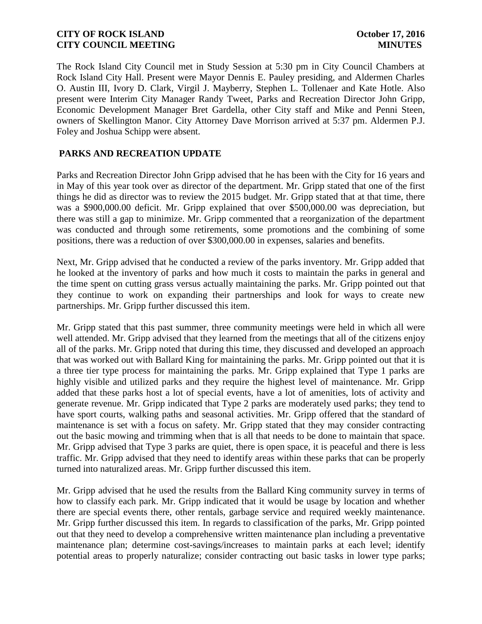The Rock Island City Council met in Study Session at 5:30 pm in City Council Chambers at Rock Island City Hall. Present were Mayor Dennis E. Pauley presiding, and Aldermen Charles O. Austin III, Ivory D. Clark, Virgil J. Mayberry, Stephen L. Tollenaer and Kate Hotle. Also present were Interim City Manager Randy Tweet, Parks and Recreation Director John Gripp, Economic Development Manager Bret Gardella, other City staff and Mike and Penni Steen, owners of Skellington Manor. City Attorney Dave Morrison arrived at 5:37 pm. Aldermen P.J. Foley and Joshua Schipp were absent.

# **PARKS AND RECREATION UPDATE**

Parks and Recreation Director John Gripp advised that he has been with the City for 16 years and in May of this year took over as director of the department. Mr. Gripp stated that one of the first things he did as director was to review the 2015 budget. Mr. Gripp stated that at that time, there was a \$900,000.00 deficit. Mr. Gripp explained that over \$500,000.00 was depreciation, but there was still a gap to minimize. Mr. Gripp commented that a reorganization of the department was conducted and through some retirements, some promotions and the combining of some positions, there was a reduction of over \$300,000.00 in expenses, salaries and benefits.

Next, Mr. Gripp advised that he conducted a review of the parks inventory. Mr. Gripp added that he looked at the inventory of parks and how much it costs to maintain the parks in general and the time spent on cutting grass versus actually maintaining the parks. Mr. Gripp pointed out that they continue to work on expanding their partnerships and look for ways to create new partnerships. Mr. Gripp further discussed this item.

Mr. Gripp stated that this past summer, three community meetings were held in which all were well attended. Mr. Gripp advised that they learned from the meetings that all of the citizens enjoy all of the parks. Mr. Gripp noted that during this time, they discussed and developed an approach that was worked out with Ballard King for maintaining the parks. Mr. Gripp pointed out that it is a three tier type process for maintaining the parks. Mr. Gripp explained that Type 1 parks are highly visible and utilized parks and they require the highest level of maintenance. Mr. Gripp added that these parks host a lot of special events, have a lot of amenities, lots of activity and generate revenue. Mr. Gripp indicated that Type 2 parks are moderately used parks; they tend to have sport courts, walking paths and seasonal activities. Mr. Gripp offered that the standard of maintenance is set with a focus on safety. Mr. Gripp stated that they may consider contracting out the basic mowing and trimming when that is all that needs to be done to maintain that space. Mr. Gripp advised that Type 3 parks are quiet, there is open space, it is peaceful and there is less traffic. Mr. Gripp advised that they need to identify areas within these parks that can be properly turned into naturalized areas. Mr. Gripp further discussed this item.

Mr. Gripp advised that he used the results from the Ballard King community survey in terms of how to classify each park. Mr. Gripp indicated that it would be usage by location and whether there are special events there, other rentals, garbage service and required weekly maintenance. Mr. Gripp further discussed this item. In regards to classification of the parks, Mr. Gripp pointed out that they need to develop a comprehensive written maintenance plan including a preventative maintenance plan; determine cost-savings/increases to maintain parks at each level; identify potential areas to properly naturalize; consider contracting out basic tasks in lower type parks;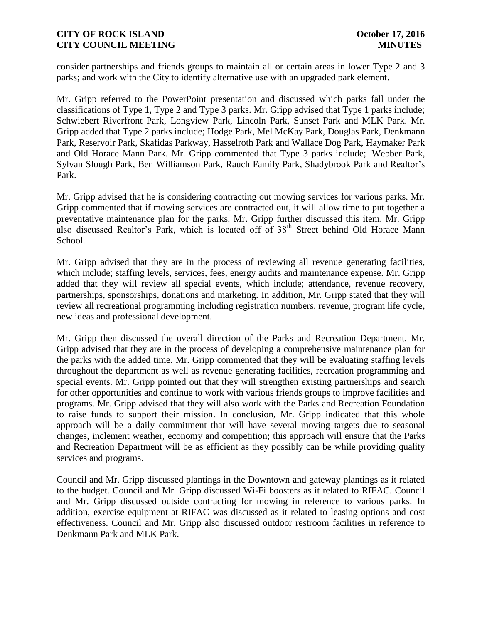consider partnerships and friends groups to maintain all or certain areas in lower Type 2 and 3 parks; and work with the City to identify alternative use with an upgraded park element.

Mr. Gripp referred to the PowerPoint presentation and discussed which parks fall under the classifications of Type 1, Type 2 and Type 3 parks. Mr. Gripp advised that Type 1 parks include; Schwiebert Riverfront Park, Longview Park, Lincoln Park, Sunset Park and MLK Park. Mr. Gripp added that Type 2 parks include; Hodge Park, Mel McKay Park, Douglas Park, Denkmann Park, Reservoir Park, Skafidas Parkway, Hasselroth Park and Wallace Dog Park, Haymaker Park and Old Horace Mann Park. Mr. Gripp commented that Type 3 parks include; Webber Park, Sylvan Slough Park, Ben Williamson Park, Rauch Family Park, Shadybrook Park and Realtor's Park.

Mr. Gripp advised that he is considering contracting out mowing services for various parks. Mr. Gripp commented that if mowing services are contracted out, it will allow time to put together a preventative maintenance plan for the parks. Mr. Gripp further discussed this item. Mr. Gripp also discussed Realtor's Park, which is located off of  $38<sup>th</sup>$  Street behind Old Horace Mann School.

Mr. Gripp advised that they are in the process of reviewing all revenue generating facilities, which include; staffing levels, services, fees, energy audits and maintenance expense. Mr. Gripp added that they will review all special events, which include; attendance, revenue recovery, partnerships, sponsorships, donations and marketing. In addition, Mr. Gripp stated that they will review all recreational programming including registration numbers, revenue, program life cycle, new ideas and professional development.

Mr. Gripp then discussed the overall direction of the Parks and Recreation Department. Mr. Gripp advised that they are in the process of developing a comprehensive maintenance plan for the parks with the added time. Mr. Gripp commented that they will be evaluating staffing levels throughout the department as well as revenue generating facilities, recreation programming and special events. Mr. Gripp pointed out that they will strengthen existing partnerships and search for other opportunities and continue to work with various friends groups to improve facilities and programs. Mr. Gripp advised that they will also work with the Parks and Recreation Foundation to raise funds to support their mission. In conclusion, Mr. Gripp indicated that this whole approach will be a daily commitment that will have several moving targets due to seasonal changes, inclement weather, economy and competition; this approach will ensure that the Parks and Recreation Department will be as efficient as they possibly can be while providing quality services and programs.

Council and Mr. Gripp discussed plantings in the Downtown and gateway plantings as it related to the budget. Council and Mr. Gripp discussed Wi-Fi boosters as it related to RIFAC. Council and Mr. Gripp discussed outside contracting for mowing in reference to various parks. In addition, exercise equipment at RIFAC was discussed as it related to leasing options and cost effectiveness. Council and Mr. Gripp also discussed outdoor restroom facilities in reference to Denkmann Park and MLK Park.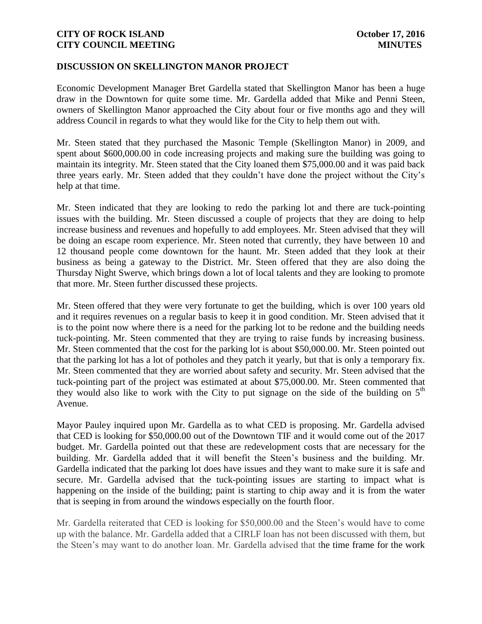### **DISCUSSION ON SKELLINGTON MANOR PROJECT**

Economic Development Manager Bret Gardella stated that Skellington Manor has been a huge draw in the Downtown for quite some time. Mr. Gardella added that Mike and Penni Steen, owners of Skellington Manor approached the City about four or five months ago and they will address Council in regards to what they would like for the City to help them out with.

Mr. Steen stated that they purchased the Masonic Temple (Skellington Manor) in 2009, and spent about \$600,000.00 in code increasing projects and making sure the building was going to maintain its integrity. Mr. Steen stated that the City loaned them \$75,000.00 and it was paid back three years early. Mr. Steen added that they couldn't have done the project without the City's help at that time.

Mr. Steen indicated that they are looking to redo the parking lot and there are tuck-pointing issues with the building. Mr. Steen discussed a couple of projects that they are doing to help increase business and revenues and hopefully to add employees. Mr. Steen advised that they will be doing an escape room experience. Mr. Steen noted that currently, they have between 10 and 12 thousand people come downtown for the haunt. Mr. Steen added that they look at their business as being a gateway to the District. Mr. Steen offered that they are also doing the Thursday Night Swerve, which brings down a lot of local talents and they are looking to promote that more. Mr. Steen further discussed these projects.

Mr. Steen offered that they were very fortunate to get the building, which is over 100 years old and it requires revenues on a regular basis to keep it in good condition. Mr. Steen advised that it is to the point now where there is a need for the parking lot to be redone and the building needs tuck-pointing. Mr. Steen commented that they are trying to raise funds by increasing business. Mr. Steen commented that the cost for the parking lot is about \$50,000.00. Mr. Steen pointed out that the parking lot has a lot of potholes and they patch it yearly, but that is only a temporary fix. Mr. Steen commented that they are worried about safety and security. Mr. Steen advised that the tuck-pointing part of the project was estimated at about \$75,000.00. Mr. Steen commented that they would also like to work with the City to put signage on the side of the building on  $5<sup>th</sup>$ Avenue.

Mayor Pauley inquired upon Mr. Gardella as to what CED is proposing. Mr. Gardella advised that CED is looking for \$50,000.00 out of the Downtown TIF and it would come out of the 2017 budget. Mr. Gardella pointed out that these are redevelopment costs that are necessary for the building. Mr. Gardella added that it will benefit the Steen's business and the building. Mr. Gardella indicated that the parking lot does have issues and they want to make sure it is safe and secure. Mr. Gardella advised that the tuck-pointing issues are starting to impact what is happening on the inside of the building; paint is starting to chip away and it is from the water that is seeping in from around the windows especially on the fourth floor.

Mr. Gardella reiterated that CED is looking for \$50,000.00 and the Steen's would have to come up with the balance. Mr. Gardella added that a CIRLF loan has not been discussed with them, but the Steen's may want to do another loan. Mr. Gardella advised that the time frame for the work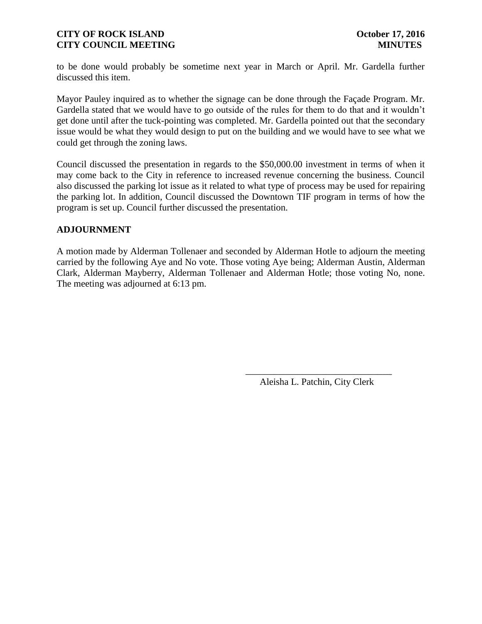to be done would probably be sometime next year in March or April. Mr. Gardella further discussed this item.

Mayor Pauley inquired as to whether the signage can be done through the Façade Program. Mr. Gardella stated that we would have to go outside of the rules for them to do that and it wouldn't get done until after the tuck-pointing was completed. Mr. Gardella pointed out that the secondary issue would be what they would design to put on the building and we would have to see what we could get through the zoning laws.

Council discussed the presentation in regards to the \$50,000.00 investment in terms of when it may come back to the City in reference to increased revenue concerning the business. Council also discussed the parking lot issue as it related to what type of process may be used for repairing the parking lot. In addition, Council discussed the Downtown TIF program in terms of how the program is set up. Council further discussed the presentation.

## **ADJOURNMENT**

A motion made by Alderman Tollenaer and seconded by Alderman Hotle to adjourn the meeting carried by the following Aye and No vote. Those voting Aye being; Alderman Austin, Alderman Clark, Alderman Mayberry, Alderman Tollenaer and Alderman Hotle; those voting No, none. The meeting was adjourned at 6:13 pm.

 $\overline{\phantom{a}}$  , and the contract of the contract of the contract of the contract of the contract of the contract of the contract of the contract of the contract of the contract of the contract of the contract of the contrac

Aleisha L. Patchin, City Clerk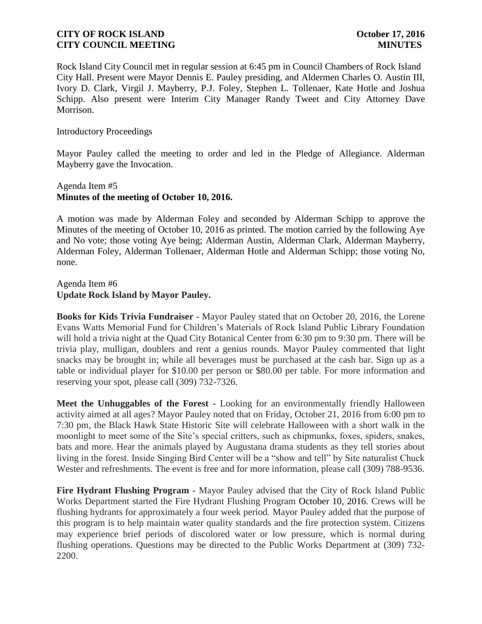Rock Island City Council met in regular session at 6:45 pm in Council Chambers of Rock Island City Hall. Present were Mayor Dennis E. Pauley presiding, and Aldermen Charles O. Austin III, Ivory D. Clark, Virgil J. Mayberry, P.J. Foley, Stephen L. Tollenaer, Kate Hotle and Joshua Schipp. Also present were Interim City Manager Randy Tweet and City Attorney Dave Morrison.

### Introductory Proceedings

Mayor Pauley called the meeting to order and led in the Pledge of Allegiance. Alderman Mayberry gave the Invocation.

## Agenda Item #5 **Minutes of the meeting of October 10, 2016.**

A motion was made by Alderman Foley and seconded by Alderman Schipp to approve the Minutes of the meeting of October 10, 2016 as printed. The motion carried by the following Aye and No vote; those voting Aye being; Alderman Austin, Alderman Clark, Alderman Mayberry, Alderman Foley, Alderman Tollenaer, Alderman Hotle and Alderman Schipp; those voting No, none.

Agenda Item #6 **Update Rock Island by Mayor Pauley.** 

**Books for Kids Trivia Fundraiser -** Mayor Pauley stated that on October 20, 2016, the Lorene Evans Watts Memorial Fund for Children's Materials of Rock Island Public Library Foundation will hold a trivia night at the Quad City Botanical Center from 6:30 pm to 9:30 pm. There will be trivia play, mulligan, doublers and rent a genius rounds. Mayor Pauley commented that light snacks may be brought in; while all beverages must be purchased at the cash bar. Sign up as a table or individual player for \$10.00 per person or \$80.00 per table. For more information and reserving your spot, please call (309) 732-7326.

**Meet the Unhuggables of the Forest -** Looking for an environmentally friendly Halloween activity aimed at all ages? Mayor Pauley noted that on Friday, October 21, 2016 from 6:00 pm to 7:30 pm, the Black Hawk State Historic Site will celebrate Halloween with a short walk in the moonlight to meet some of the Site's special critters, such as chipmunks, foxes, spiders, snakes, bats and more. Hear the animals played by Augustana drama students as they tell stories about living in the forest. Inside Singing Bird Center will be a "show and tell" by Site naturalist Chuck Wester and refreshments. The event is free and for more information, please call (309) 788-9536.

**Fire Hydrant Flushing Program -** Mayor Pauley advised that the City of Rock Island Public Works Department started the Fire Hydrant Flushing Program October 10, 2016. Crews will be flushing hydrants for approximately a four week period. Mayor Pauley added that the purpose of this program is to help maintain water quality standards and the fire protection system. Citizens may experience brief periods of discolored water or low pressure, which is normal during flushing operations. Questions may be directed to the Public Works Department at (309) 732- 2200.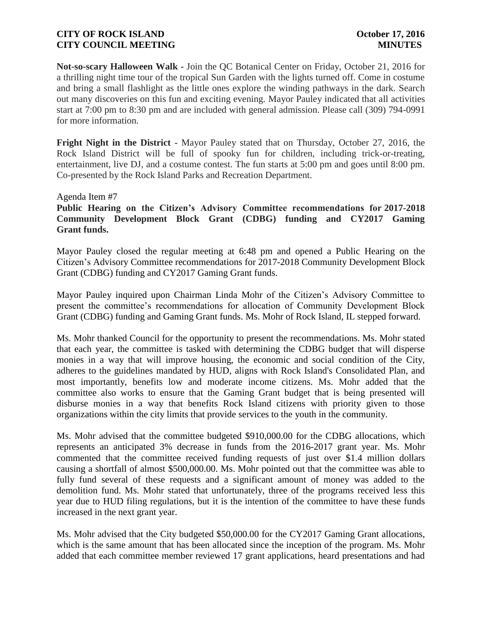**Not-so-scary Halloween Walk -** Join the QC Botanical Center on Friday, October 21, 2016 for a thrilling night time tour of the tropical Sun Garden with the lights turned off. Come in costume and bring a small flashlight as the little ones explore the winding pathways in the dark. Search out many discoveries on this fun and exciting evening. Mayor Pauley indicated that all activities start at 7:00 pm to 8:30 pm and are included with general admission. Please call (309) 794-0991 for more information.

**Fright Night in the District -** Mayor Pauley stated that on Thursday, October 27, 2016, the Rock Island District will be full of spooky fun for children, including trick-or-treating, entertainment, live DJ, and a costume contest. The fun starts at 5:00 pm and goes until 8:00 pm. Co-presented by the Rock Island Parks and Recreation Department.

Agenda Item #7

**Public Hearing on the Citizen's Advisory Committee recommendations for 2017-2018 Community Development Block Grant (CDBG) funding and CY2017 Gaming Grant funds.** 

Mayor Pauley closed the regular meeting at 6:48 pm and opened a Public Hearing on the Citizen's Advisory Committee recommendations for 2017-2018 Community Development Block Grant (CDBG) funding and CY2017 Gaming Grant funds.

Mayor Pauley inquired upon Chairman Linda Mohr of the Citizen's Advisory Committee to present the committee's recommendations for allocation of Community Development Block Grant (CDBG) funding and Gaming Grant funds. Ms. Mohr of Rock Island, IL stepped forward.

Ms. Mohr thanked Council for the opportunity to present the recommendations. Ms. Mohr stated that each year, the committee is tasked with determining the CDBG budget that will disperse monies in a way that will improve housing, the economic and social condition of the City, adheres to the guidelines mandated by HUD, aligns with Rock Island's Consolidated Plan, and most importantly, benefits low and moderate income citizens. Ms. Mohr added that the committee also works to ensure that the Gaming Grant budget that is being presented will disburse monies in a way that benefits Rock Island citizens with priority given to those organizations within the city limits that provide services to the youth in the community.

Ms. Mohr advised that the committee budgeted \$910,000.00 for the CDBG allocations, which represents an anticipated 3% decrease in funds from the 2016-2017 grant year. Ms. Mohr commented that the committee received funding requests of just over \$1.4 million dollars causing a shortfall of almost \$500,000.00. Ms. Mohr pointed out that the committee was able to fully fund several of these requests and a significant amount of money was added to the demolition fund. Ms. Mohr stated that unfortunately, three of the programs received less this year due to HUD filing regulations, but it is the intention of the committee to have these funds increased in the next grant year.

Ms. Mohr advised that the City budgeted \$50,000.00 for the CY2017 Gaming Grant allocations, which is the same amount that has been allocated since the inception of the program. Ms. Mohr added that each committee member reviewed 17 grant applications, heard presentations and had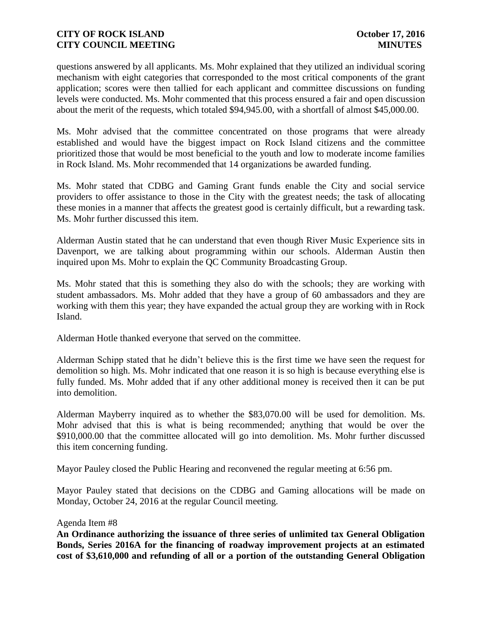questions answered by all applicants. Ms. Mohr explained that they utilized an individual scoring mechanism with eight categories that corresponded to the most critical components of the grant application; scores were then tallied for each applicant and committee discussions on funding levels were conducted. Ms. Mohr commented that this process ensured a fair and open discussion about the merit of the requests, which totaled \$94,945.00, with a shortfall of almost \$45,000.00.

Ms. Mohr advised that the committee concentrated on those programs that were already established and would have the biggest impact on Rock Island citizens and the committee prioritized those that would be most beneficial to the youth and low to moderate income families in Rock Island. Ms. Mohr recommended that 14 organizations be awarded funding.

Ms. Mohr stated that CDBG and Gaming Grant funds enable the City and social service providers to offer assistance to those in the City with the greatest needs; the task of allocating these monies in a manner that affects the greatest good is certainly difficult, but a rewarding task. Ms. Mohr further discussed this item.

Alderman Austin stated that he can understand that even though River Music Experience sits in Davenport, we are talking about programming within our schools. Alderman Austin then inquired upon Ms. Mohr to explain the QC Community Broadcasting Group.

Ms. Mohr stated that this is something they also do with the schools; they are working with student ambassadors. Ms. Mohr added that they have a group of 60 ambassadors and they are working with them this year; they have expanded the actual group they are working with in Rock Island.

Alderman Hotle thanked everyone that served on the committee.

Alderman Schipp stated that he didn't believe this is the first time we have seen the request for demolition so high. Ms. Mohr indicated that one reason it is so high is because everything else is fully funded. Ms. Mohr added that if any other additional money is received then it can be put into demolition.

Alderman Mayberry inquired as to whether the \$83,070.00 will be used for demolition. Ms. Mohr advised that this is what is being recommended; anything that would be over the \$910,000.00 that the committee allocated will go into demolition. Ms. Mohr further discussed this item concerning funding.

Mayor Pauley closed the Public Hearing and reconvened the regular meeting at 6:56 pm.

Mayor Pauley stated that decisions on the CDBG and Gaming allocations will be made on Monday, October 24, 2016 at the regular Council meeting.

#### Agenda Item #8

**An Ordinance authorizing the issuance of three series of unlimited tax General Obligation Bonds, Series 2016A for the financing of roadway improvement projects at an estimated cost of \$3,610,000 and refunding of all or a portion of the outstanding General Obligation**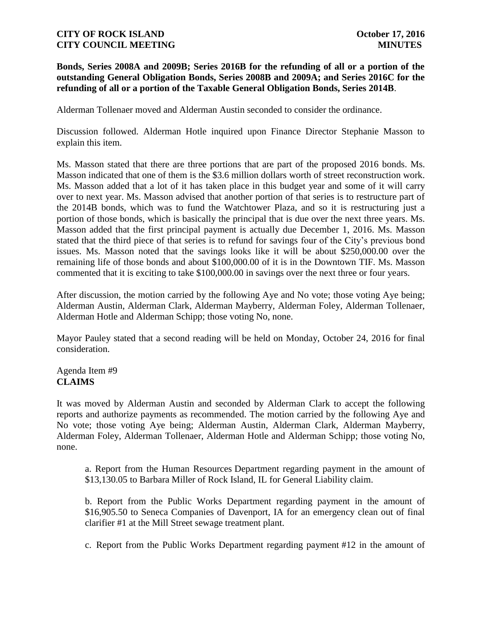### **Bonds, Series 2008A and 2009B; Series 2016B for the refunding of all or a portion of the outstanding General Obligation Bonds, Series 2008B and 2009A; and Series 2016C for the refunding of all or a portion of the Taxable General Obligation Bonds, Series 2014B**.

Alderman Tollenaer moved and Alderman Austin seconded to consider the ordinance.

Discussion followed. Alderman Hotle inquired upon Finance Director Stephanie Masson to explain this item.

Ms. Masson stated that there are three portions that are part of the proposed 2016 bonds. Ms. Masson indicated that one of them is the \$3.6 million dollars worth of street reconstruction work. Ms. Masson added that a lot of it has taken place in this budget year and some of it will carry over to next year. Ms. Masson advised that another portion of that series is to restructure part of the 2014B bonds, which was to fund the Watchtower Plaza, and so it is restructuring just a portion of those bonds, which is basically the principal that is due over the next three years. Ms. Masson added that the first principal payment is actually due December 1, 2016. Ms. Masson stated that the third piece of that series is to refund for savings four of the City's previous bond issues. Ms. Masson noted that the savings looks like it will be about \$250,000.00 over the remaining life of those bonds and about \$100,000.00 of it is in the Downtown TIF. Ms. Masson commented that it is exciting to take \$100,000.00 in savings over the next three or four years.

After discussion, the motion carried by the following Aye and No vote; those voting Aye being; Alderman Austin, Alderman Clark, Alderman Mayberry, Alderman Foley, Alderman Tollenaer, Alderman Hotle and Alderman Schipp; those voting No, none.

Mayor Pauley stated that a second reading will be held on Monday, October 24, 2016 for final consideration.

# Agenda Item #9 **CLAIMS**

It was moved by Alderman Austin and seconded by Alderman Clark to accept the following reports and authorize payments as recommended. The motion carried by the following Aye and No vote; those voting Aye being; Alderman Austin, Alderman Clark, Alderman Mayberry, Alderman Foley, Alderman Tollenaer, Alderman Hotle and Alderman Schipp; those voting No, none.

a. Report from the Human Resources Department regarding payment in the amount of \$13,130.05 to Barbara Miller of Rock Island, IL for General Liability claim.

b. Report from the Public Works Department regarding payment in the amount of \$16,905.50 to Seneca Companies of Davenport, IA for an emergency clean out of final clarifier #1 at the Mill Street sewage treatment plant.

c. Report from the Public Works Department regarding payment #12 in the amount of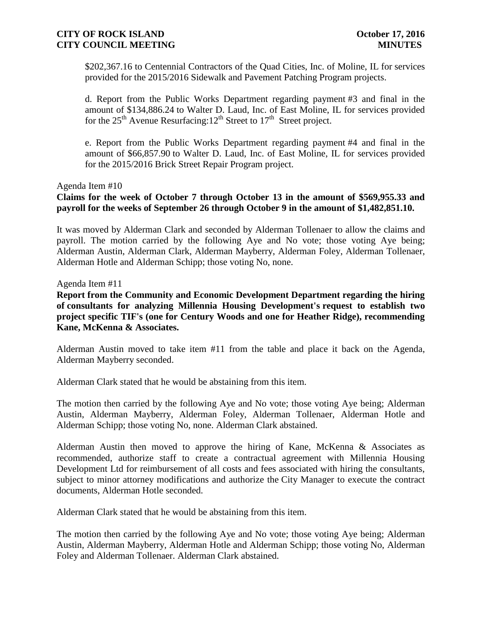\$202,367.16 to Centennial Contractors of the Quad Cities, Inc. of Moline, IL for services provided for the 2015/2016 Sidewalk and Pavement Patching Program projects.

d. Report from the Public Works Department regarding payment #3 and final in the amount of \$134,886.24 to Walter D. Laud, Inc. of East Moline, IL for services provided for the  $25<sup>th</sup>$  Avenue Resurfacing:  $12<sup>th</sup>$  Street to  $17<sup>th</sup>$  Street project.

e. Report from the Public Works Department regarding payment #4 and final in the amount of \$66,857.90 to Walter D. Laud, Inc. of East Moline, IL for services provided for the 2015/2016 Brick Street Repair Program project.

### Agenda Item #10

**Claims for the week of October 7 through October 13 in the amount of \$569,955.33 and payroll for the weeks of September 26 through October 9 in the amount of \$1,482,851.10.** 

It was moved by Alderman Clark and seconded by Alderman Tollenaer to allow the claims and payroll. The motion carried by the following Aye and No vote; those voting Aye being; Alderman Austin, Alderman Clark, Alderman Mayberry, Alderman Foley, Alderman Tollenaer, Alderman Hotle and Alderman Schipp; those voting No, none.

Agenda Item #11

**Report from the Community and Economic Development Department regarding the hiring of consultants for analyzing Millennia Housing Development's request to establish two project specific TIF's (one for Century Woods and one for Heather Ridge), recommending Kane, McKenna & Associates.**

Alderman Austin moved to take item #11 from the table and place it back on the Agenda, Alderman Mayberry seconded.

Alderman Clark stated that he would be abstaining from this item.

The motion then carried by the following Aye and No vote; those voting Aye being; Alderman Austin, Alderman Mayberry, Alderman Foley, Alderman Tollenaer, Alderman Hotle and Alderman Schipp; those voting No, none. Alderman Clark abstained.

Alderman Austin then moved to approve the hiring of Kane, McKenna & Associates as recommended, authorize staff to create a contractual agreement with Millennia Housing Development Ltd for reimbursement of all costs and fees associated with hiring the consultants, subject to minor attorney modifications and authorize the City Manager to execute the contract documents, Alderman Hotle seconded.

Alderman Clark stated that he would be abstaining from this item.

The motion then carried by the following Aye and No vote; those voting Aye being; Alderman Austin, Alderman Mayberry, Alderman Hotle and Alderman Schipp; those voting No, Alderman Foley and Alderman Tollenaer. Alderman Clark abstained.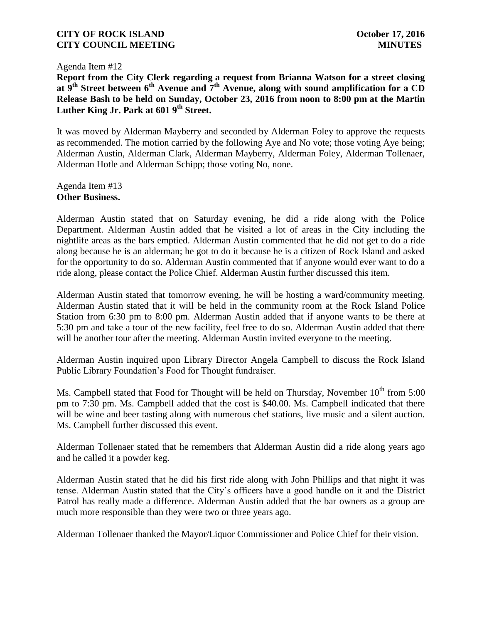Agenda Item #12

**Report from the City Clerk regarding a request from Brianna Watson for a street closing at 9th Street between 6th Avenue and 7th Avenue, along with sound amplification for a CD Release Bash to be held on Sunday, October 23, 2016 from noon to 8:00 pm at the Martin Luther King Jr. Park at 601 9th Street.**

It was moved by Alderman Mayberry and seconded by Alderman Foley to approve the requests as recommended. The motion carried by the following Aye and No vote; those voting Aye being; Alderman Austin, Alderman Clark, Alderman Mayberry, Alderman Foley, Alderman Tollenaer, Alderman Hotle and Alderman Schipp; those voting No, none.

Agenda Item #13 **Other Business.**

Alderman Austin stated that on Saturday evening, he did a ride along with the Police Department. Alderman Austin added that he visited a lot of areas in the City including the nightlife areas as the bars emptied. Alderman Austin commented that he did not get to do a ride along because he is an alderman; he got to do it because he is a citizen of Rock Island and asked for the opportunity to do so. Alderman Austin commented that if anyone would ever want to do a ride along, please contact the Police Chief. Alderman Austin further discussed this item.

Alderman Austin stated that tomorrow evening, he will be hosting a ward/community meeting. Alderman Austin stated that it will be held in the community room at the Rock Island Police Station from 6:30 pm to 8:00 pm. Alderman Austin added that if anyone wants to be there at 5:30 pm and take a tour of the new facility, feel free to do so. Alderman Austin added that there will be another tour after the meeting. Alderman Austin invited everyone to the meeting.

Alderman Austin inquired upon Library Director Angela Campbell to discuss the Rock Island Public Library Foundation's Food for Thought fundraiser.

Ms. Campbell stated that Food for Thought will be held on Thursday, November  $10^{th}$  from 5:00 pm to 7:30 pm. Ms. Campbell added that the cost is \$40.00. Ms. Campbell indicated that there will be wine and beer tasting along with numerous chef stations, live music and a silent auction. Ms. Campbell further discussed this event.

Alderman Tollenaer stated that he remembers that Alderman Austin did a ride along years ago and he called it a powder keg.

Alderman Austin stated that he did his first ride along with John Phillips and that night it was tense. Alderman Austin stated that the City's officers have a good handle on it and the District Patrol has really made a difference. Alderman Austin added that the bar owners as a group are much more responsible than they were two or three years ago.

Alderman Tollenaer thanked the Mayor/Liquor Commissioner and Police Chief for their vision.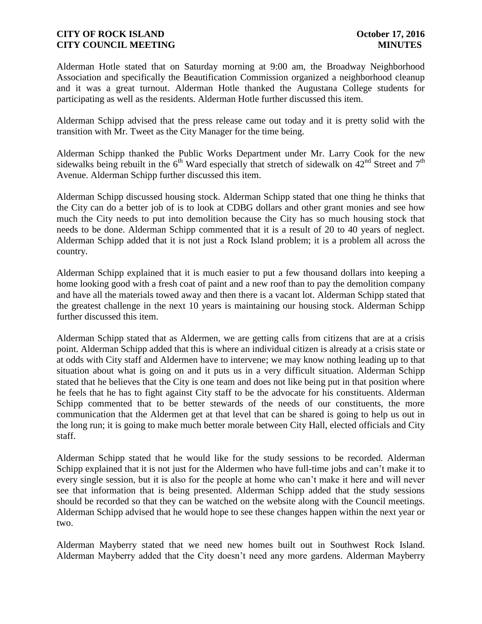Alderman Hotle stated that on Saturday morning at 9:00 am, the Broadway Neighborhood Association and specifically the Beautification Commission organized a neighborhood cleanup and it was a great turnout. Alderman Hotle thanked the Augustana College students for participating as well as the residents. Alderman Hotle further discussed this item.

Alderman Schipp advised that the press release came out today and it is pretty solid with the transition with Mr. Tweet as the City Manager for the time being.

Alderman Schipp thanked the Public Works Department under Mr. Larry Cook for the new sidewalks being rebuilt in the  $6<sup>th</sup>$  Ward especially that stretch of sidewalk on 42<sup>nd</sup> Street and 7<sup>th</sup> Avenue. Alderman Schipp further discussed this item.

Alderman Schipp discussed housing stock. Alderman Schipp stated that one thing he thinks that the City can do a better job of is to look at CDBG dollars and other grant monies and see how much the City needs to put into demolition because the City has so much housing stock that needs to be done. Alderman Schipp commented that it is a result of 20 to 40 years of neglect. Alderman Schipp added that it is not just a Rock Island problem; it is a problem all across the country.

Alderman Schipp explained that it is much easier to put a few thousand dollars into keeping a home looking good with a fresh coat of paint and a new roof than to pay the demolition company and have all the materials towed away and then there is a vacant lot. Alderman Schipp stated that the greatest challenge in the next 10 years is maintaining our housing stock. Alderman Schipp further discussed this item.

Alderman Schipp stated that as Aldermen, we are getting calls from citizens that are at a crisis point. Alderman Schipp added that this is where an individual citizen is already at a crisis state or at odds with City staff and Aldermen have to intervene; we may know nothing leading up to that situation about what is going on and it puts us in a very difficult situation. Alderman Schipp stated that he believes that the City is one team and does not like being put in that position where he feels that he has to fight against City staff to be the advocate for his constituents. Alderman Schipp commented that to be better stewards of the needs of our constituents, the more communication that the Aldermen get at that level that can be shared is going to help us out in the long run; it is going to make much better morale between City Hall, elected officials and City staff.

Alderman Schipp stated that he would like for the study sessions to be recorded. Alderman Schipp explained that it is not just for the Aldermen who have full-time jobs and can't make it to every single session, but it is also for the people at home who can't make it here and will never see that information that is being presented. Alderman Schipp added that the study sessions should be recorded so that they can be watched on the website along with the Council meetings. Alderman Schipp advised that he would hope to see these changes happen within the next year or two.

Alderman Mayberry stated that we need new homes built out in Southwest Rock Island. Alderman Mayberry added that the City doesn't need any more gardens. Alderman Mayberry